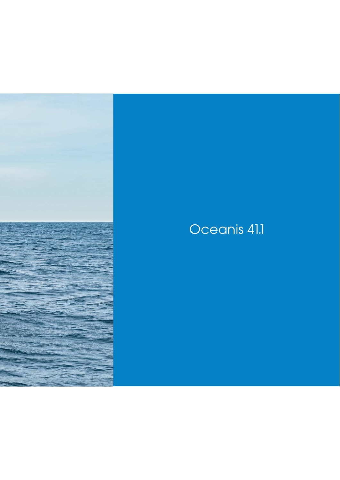# Oceanis 41.1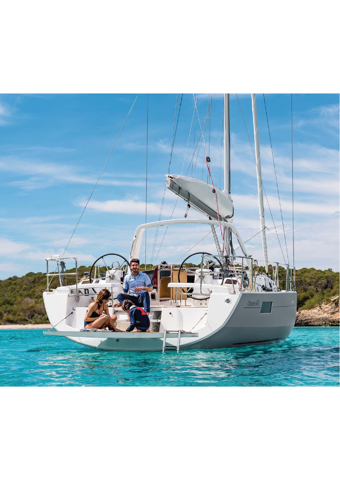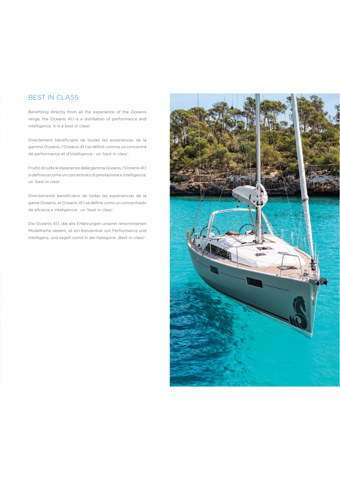### BEST IN CLASS

Benefiting directly from all the experience of the Oceanis range, the Oceanis 41.1 is a distillation of performance and intelligence. It is a best in class!

Directement bénéficiaire de toutes les expériences de la gamme Oceanis, l'Oceanis 41.1 se définit comme un concentré de performance et d'intelligence : un 'best in class'.

Frutto di tutte le esperienze della gamma Oceanis, l'Oceanis 41.1 si definisce come un concentrato di prestazione e intelligenza: un 'best in class'.

Directamente beneficiario de todas las experiencias de la gama Oceanis, el Oceanis 41.1 se define como un concentrado de eficacia e inteligencia : un 'best in class'.

Die Oceanis 41.1, die alle Erfahrungen unserer renommierten Modellreihe vereint, ist ein Konzentrat von Performance und Intelligenz, und segelt somit in der Kategorie "Best-in-class".

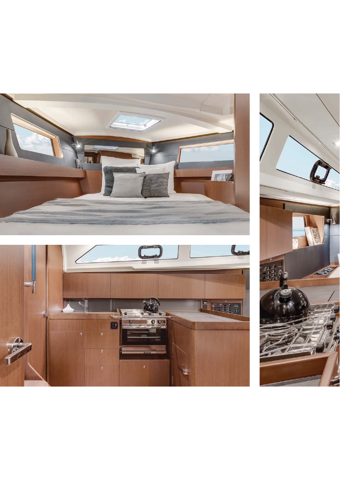



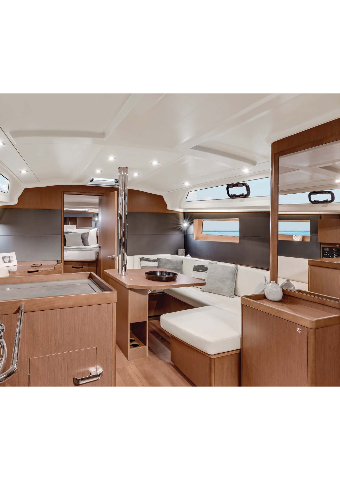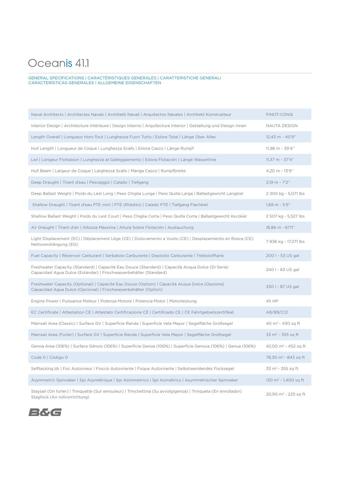# Oceanis 41.1

GENERAL SPECIFICATIONS | CARACTÉRISTIQUES GENERALES | CARATTERISTICHE GENERALI CARACTERÍSTICAS GENERALES | ALLGEMEINE EIGENSCHAFTEN

| Naval Architects   Architectes Navals   Architetti Navali   Arquitectos Navales   Architekt Konstrukteur                                                              | FINOT-CONQ                       |
|-----------------------------------------------------------------------------------------------------------------------------------------------------------------------|----------------------------------|
| Interior Design   Architecture Intérieure   Design Interno   Arquitectura Interior   Gestaltung und Design Innen                                                      | NAUTA DESIGN                     |
| Length Overall   Longueur Hors-Tout   Lunghezza Fuori Tutto   Eslora Total   Länge Über Alles                                                                         | 12,43 m - 40'9"                  |
| Hull Length   Longueur de Coque   Lunghezza Scafo   Eslora Casco   Länge Rumpf                                                                                        | 11,98 m - 39'4"                  |
| Lwl   Longeur Flottaison   Lunghezza al Galleggiamento   Eslora Flotación   Länge Wasserlinie                                                                         | 11,37 m - 37'4"                  |
| Hull Beam   Largeur de Coque   Larghezza Scafo   Manga Casco   Rumpfbreite                                                                                            | 4,20 m - 13'9"                   |
| Deep Draught   Tirant d'eau   Pescaggio   Calado   Tiefgang                                                                                                           | $2,19$ m - $7'2''$               |
| Deep Ballast Weight   Poids du Lest Long   Peso Chiglia Lunga   Peso Quilla Larga   Ballastgewicht Langkiel                                                           | 2 300 kg - 5,071 lbs             |
| Shallow Draught   Tirant d'eau PTE mini   PTE (Ridotto)   Calado PTE   Tiefgang Flachkiel                                                                             | $1,68$ m - 5'6"                  |
| Shallow Ballast Weight   Poids du Lest Court   Peso Chiglia Corta   Peso Quilla Corta   Ballastgewicht Kurzkiel                                                       | 2 507 kg - 5,527 lbs             |
| Air Draught   Tirant d'air   Altezza Massima   Altura Sobre Flotación   Austauchung                                                                                   | 18,86 m - 61'11"                 |
| Light Displacement (EC)   Déplacement Lège (CE)   Dislocamento a Vuoto (CE)   Desplazamiento en Rosca (CE)<br>Nettoverdrängung (EG)                                   | 7 836 kg - 17,271 lbs            |
| Fuel Capacity   Réservoir Carburant   Serbatoio Carburante   Depósito Carburante   Treibstofftank                                                                     | 200 l - 53 US gal                |
| Freshwater Capacity (Standard)   Capacité Eau Douce (Standard)   Capacità Acqua Dolce (Di Serie)<br>Capacidad Agua Dulce (Estándar)   Frischwasserbehälter (Standard) | 240 l - 63 US gal                |
| Freshwater Capacity (Optional)   Capacité Eau Douce (Option)   Capacità Acqua Dolce (Opzione)<br>Capacidad Agua Dulce (Opcional)   Frischwasserbehälter (Option)      | 330 l - 87 US gal                |
| Engine Power   Puissance Moteur   Potenza Motore   Potencia Motor   Motorleistung                                                                                     | 45 HP                            |
| EC Certificate   Attestation CE   Attestato Certificazione CE   Certificado CE   CE Fahrtgebietszertifikat                                                            | A8/B9/C12                        |
| Mainsail Area (Classic)   Surface GV   Superficie Randa   Superficie Vela Mayor   Segelfläche Großsegel                                                               | 40 m <sup>2</sup> - 430 sq ft    |
| Mainsail Area (Furler)   Surface GV   Superficie Randa   Superficie Vela Mayor   Segelfläche Großsegel                                                                | 33 $m^2$ - 355 sq ft             |
| Genoa Area (106%)   Surface Génois (106%)   Superficie Genoa (106%)   Superficie Genova (106%)   Genua (106%)                                                         | 42,00 m <sup>2</sup> - 452 sq ft |
| Code 0   Código 0                                                                                                                                                     | 78,30 m <sup>2</sup> - 843 sq ft |
| Selftacking jib   Foc Autovireur   Fiocco Autovirante   Foque Autovirante   Selbstwendendes Focksegel                                                                 | $33 \text{ m}^2$ - 355 sq ft     |
| Asymmetric Spinnaker   Spi Asymétrique   Spi Asimmetrico   Spi Asimétrico   Asymmetrischer Spinnaker                                                                  | 130 m <sup>2</sup> - 1,400 sq ft |
| Staysail (On furler)   Trinquette (Sur enrouleur)   Trinchettina (Su avvolgigenoa)   Trinqueta (En enrollador)<br>Stagfock (An rollvorrichtung)                       | 20,90 m <sup>2</sup> - 225 sq ft |

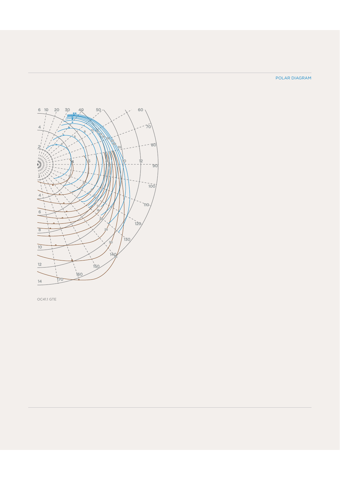POLAR DIAGRAM



OC41.1 GTE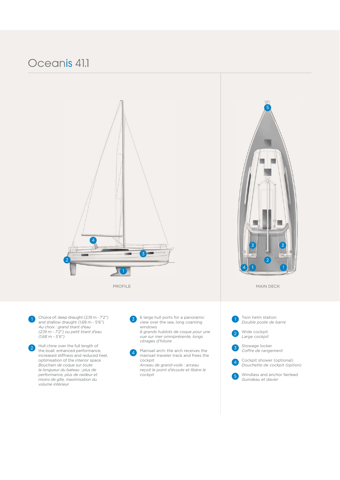## Oceanis 41.1



Choice of: deep draught (2,19 m - 7'2") and shallow draught (1,68 m - 5'6") *Au choix : grand tirant d'eau (2,19 m* - *7'2*"*) ou petit tirant d'eau (1,68 m* - *5'6")* 

Hull chine over the full length of the boat: enhanced performance, increased stiffness and reduced heel, optimisation of the interior space *Bouchain de coque sur toute la longueur du bateau : plus de performance, plus de raideur et moins de gîte, maximisation du volume intérieur*

6 large hull ports for a panoramic ス view over the sea, long coaming windows *6 grands hublots de coque pour une vue sur mer omniprésente, longs vitrages d'hiloire*

Mainsail arch: the arch receives the  $\mathbf{A}^{\mathcal{N}}$ mainsail traveler track and frees the cockpit *Arceau de grand-voile : arceau reçoit le point d'écoute et libère le cockpit*







Windlass and anchor fairlead ์ 5 *Guindeau et davier*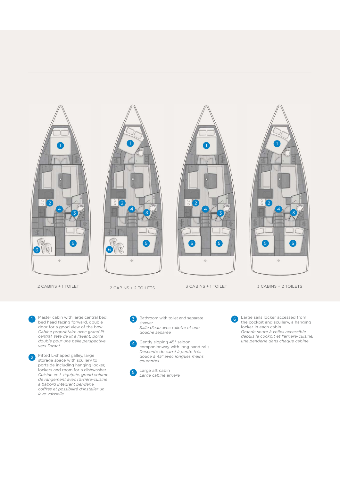

Master cabin with large central bed, bed head facing forward, double door for a good view of the bow *Cabine propriétaire avec grand lit central, tête de lit à l'avant, porte double pour une belle perspective vers l'avant* 

Fitted L-shaped galley, large  $\mathcal{D}^{\mathcal{C}}$ storage space with scullery to portside including hanging locker, lockers and room for a dishwasher *Cuisine en L équipée, grand volume de rangement avec l'arrière-cuisine à bâbord intégrant penderie, coffres et possibilité d'installer un lave-vaisselle*

Bathroom with toilet and separate  $|z|$ shower *Salle d'eau avec toilette et une* 



companionway with long hand rails *Descente de carré à pente très douce à 45° avec longues mains courantes*



Large sails locker accessed from  $\left( 6\right)$ the cockpit and scullery, a hanging locker in each cabin *Grande soute à voiles accessible depuis le cockpit et l'arrière-cuisine, une penderie dans chaque cabine*